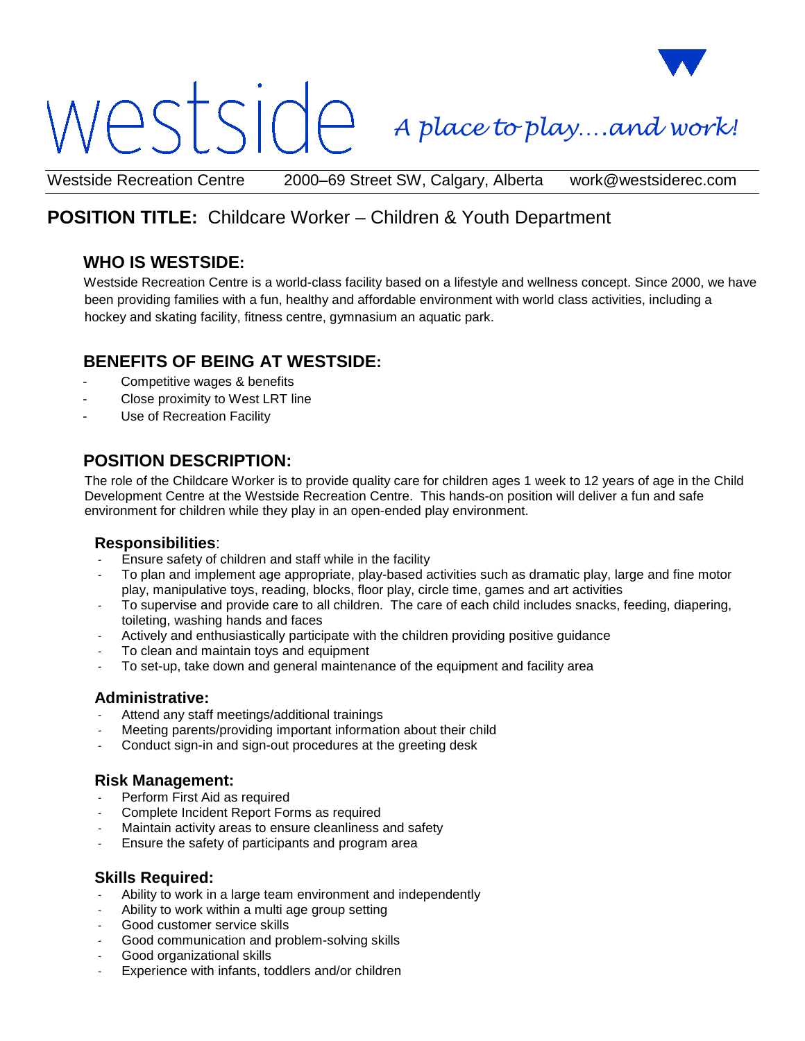# $\supset$

*A place to play….and work!*

Westside Recreation Centre 2000–69 Street SW, Calgary, Alberta work@westsiderec.com

# **POSITION TITLE:** Childcare Worker – Children & Youth Department

# **WHO IS WESTSIDE:**

Westside Recreation Centre is a world-class facility based on a lifestyle and wellness concept. Since 2000, we have been providing families with a fun, healthy and affordable environment with world class activities, including a hockey and skating facility, fitness centre, gymnasium an aquatic park.

# **BENEFITS OF BEING AT WESTSIDE:**

- Competitive wages & benefits
- Close proximity to West LRT line
- Use of Recreation Facility

# **POSITION DESCRIPTION:**

The role of the Childcare Worker is to provide quality care for children ages 1 week to 12 years of age in the Child Development Centre at the Westside Recreation Centre. This hands-on position will deliver a fun and safe environment for children while they play in an open-ended play environment.

#### **Responsibilities**:

- Ensure safety of children and staff while in the facility
- To plan and implement age appropriate, play-based activities such as dramatic play, large and fine motor play, manipulative toys, reading, blocks, floor play, circle time, games and art activities
- To supervise and provide care to all children. The care of each child includes snacks, feeding, diapering, toileting, washing hands and faces
- Actively and enthusiastically participate with the children providing positive guidance
- To clean and maintain toys and equipment
- To set-up, take down and general maintenance of the equipment and facility area

#### **Administrative:**

- Attend any staff meetings/additional trainings
- Meeting parents/providing important information about their child
- Conduct sign-in and sign-out procedures at the greeting desk

#### **Risk Management:**

- Perform First Aid as required
- Complete Incident Report Forms as required
- Maintain activity areas to ensure cleanliness and safety
- Ensure the safety of participants and program area

### **Skills Required:**

- Ability to work in a large team environment and independently
- Ability to work within a multi age group setting
- Good customer service skills
- Good communication and problem-solving skills
- Good organizational skills
- Experience with infants, toddlers and/or children